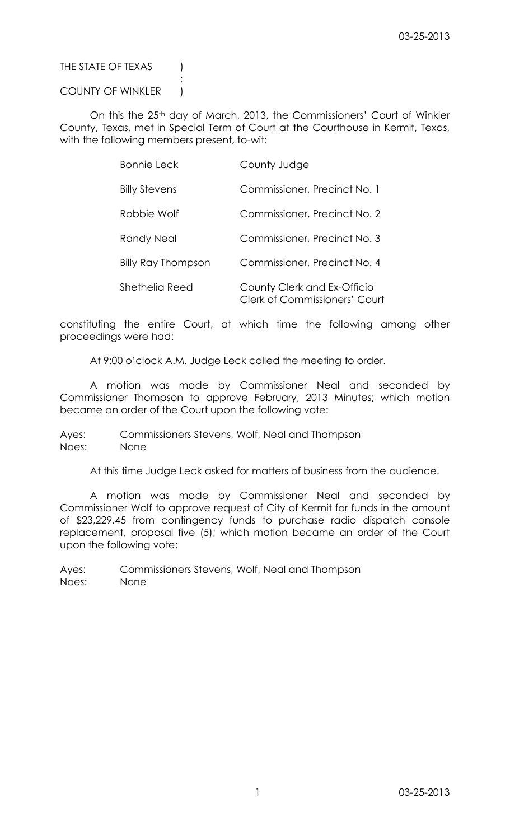## THE STATE OF TEXAS (

## COUNTY OF WINKLER |

:

On this the 25<sup>th</sup> day of March, 2013, the Commissioners' Court of Winkler County, Texas, met in Special Term of Court at the Courthouse in Kermit, Texas, with the following members present, to-wit:

| <b>Bonnie Leck</b>        | County Judge                                                        |
|---------------------------|---------------------------------------------------------------------|
| <b>Billy Stevens</b>      | Commissioner, Precinct No. 1                                        |
| Robbie Wolf               | Commissioner, Precinct No. 2                                        |
| Randy Neal                | Commissioner, Precinct No. 3                                        |
| <b>Billy Ray Thompson</b> | Commissioner, Precinct No. 4                                        |
| Shethelia Reed            | County Clerk and Ex-Officio<br><b>Clerk of Commissioners' Court</b> |

constituting the entire Court, at which time the following among other proceedings were had:

At 9:00 o'clock A.M. Judge Leck called the meeting to order.

A motion was made by Commissioner Neal and seconded by Commissioner Thompson to approve February, 2013 Minutes; which motion became an order of the Court upon the following vote:

Ayes: Commissioners Stevens, Wolf, Neal and Thompson Noes: None

At this time Judge Leck asked for matters of business from the audience.

A motion was made by Commissioner Neal and seconded by Commissioner Wolf to approve request of City of Kermit for funds in the amount of \$23,229.45 from contingency funds to purchase radio dispatch console replacement, proposal five (5); which motion became an order of the Court upon the following vote:

Ayes: Commissioners Stevens, Wolf, Neal and Thompson Noes: None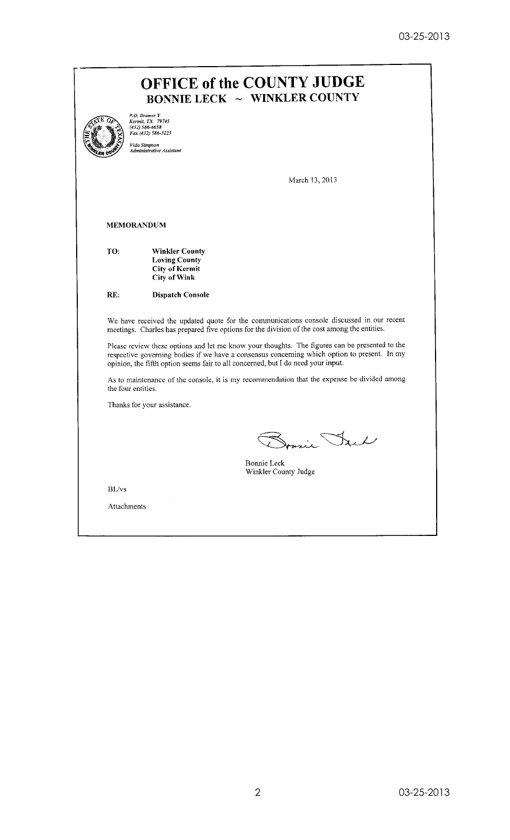|                    | P.O. Drawer Y<br>Kermit, TX 79745<br>(432) 586-6658<br>Fax (432) 586-3223<br>Vida Simpson<br>Administrative Assistant                                                                                                                                                                                                                                                                                                                                                           |
|--------------------|---------------------------------------------------------------------------------------------------------------------------------------------------------------------------------------------------------------------------------------------------------------------------------------------------------------------------------------------------------------------------------------------------------------------------------------------------------------------------------|
|                    | March 13, 2013                                                                                                                                                                                                                                                                                                                                                                                                                                                                  |
|                    | <b>MEMORANDUM</b>                                                                                                                                                                                                                                                                                                                                                                                                                                                               |
| TO:                | <b>Winkler County</b><br><b>Loving County</b><br><b>City of Kermit</b><br><b>City of Wink</b>                                                                                                                                                                                                                                                                                                                                                                                   |
| RE:                | <b>Dispatch Console</b>                                                                                                                                                                                                                                                                                                                                                                                                                                                         |
|                    | We have received the updated quote for the communications console discussed in our recent<br>meetings. Charles has prepared five options for the division of the cost among the entities.<br>Please review these options and let me know your thoughts. The figures can be presented to the<br>respective governing bodies if we have a consensus concerning which option to present. In my<br>opinion, the fifth option seems fair to all concerned, but I do need your input. |
| the four entities. | As to maintenance of the console, it is my recommendation that the expense be divided among                                                                                                                                                                                                                                                                                                                                                                                     |
|                    | Thanks for your assistance.                                                                                                                                                                                                                                                                                                                                                                                                                                                     |
|                    | $\lambda$<br>nul<br><b>Bonnie Leck</b><br>Winkler County Judge                                                                                                                                                                                                                                                                                                                                                                                                                  |
| BL/vs              |                                                                                                                                                                                                                                                                                                                                                                                                                                                                                 |
|                    |                                                                                                                                                                                                                                                                                                                                                                                                                                                                                 |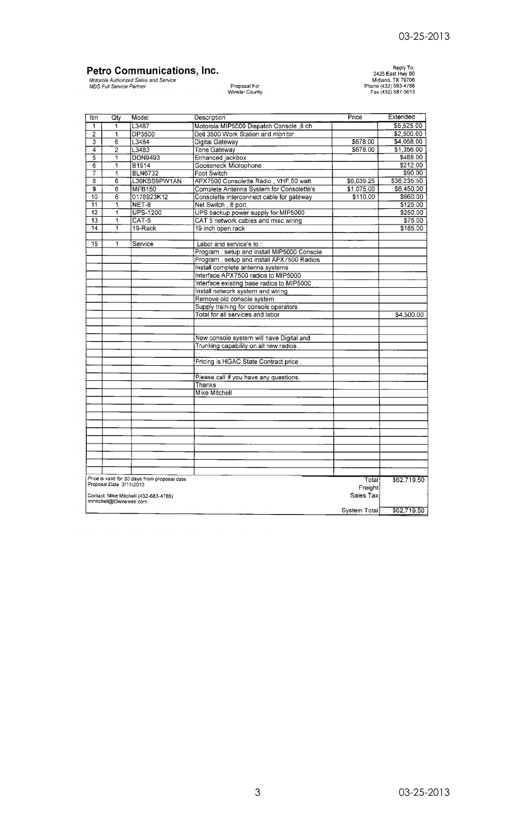# **Petro Communications, Inc.**<br>Motorola Authorized Sales and Service<br>MDS Full Service Partner

# Proposal For<br>Winkler County

Reply To:<br>2425 East Hwy 80<br>Midland, TX 79706<br>Phone (432) 683-4786<br>Fax (432) 687-3613

| Itm            | Qtv                       | Model                                          | Description                                | Price        | Extended    |
|----------------|---------------------------|------------------------------------------------|--------------------------------------------|--------------|-------------|
| 1              | 1                         | L3487                                          | Motorola MIP5000 Dispatch Console 8 ch     |              | \$5,525.00  |
| $\overline{2}$ | 1                         | <b>DP3500</b>                                  | Dell 3500 Work Station and monitor         |              | \$2,500.00  |
| 3              | 6                         | L3484                                          | Digital Gateway                            | \$678.00     | \$4,068.00  |
| $\overline{4}$ | $\overline{2}$            | L3483                                          | <b>Tone Gateway</b>                        | \$678.00     | \$1,356.00  |
| 5              | 1                         | DDN9493                                        | Enhanced jackbox                           |              | \$488.00    |
| $\overline{6}$ | ī                         | <b>B1914</b>                                   | Gooseneck Microphone                       |              | \$212.00    |
| 7              | 1                         | <b>BLN6732</b>                                 | Foot Switch                                |              | \$90.00     |
| 8              | 6                         | L30KSS9PW1AN                                   | APX7500 Consolette Radio, VHF,50 watt      | \$6,039.25   | \$36,235.50 |
| 9              | 6                         | <b>MFB150</b>                                  | Complete Antenna System for Consolette's   | \$1,075.00   | \$6,450.00  |
| 10             | 6                         | 0178923K12                                     | Consolette interconnect cable for gateway  | \$110.00     | \$660.00    |
| 11             | 1                         | NET-8                                          | Net Switch, 8 port                         |              | \$125.00    |
| 12             | ï                         | <b>UPS-1200</b>                                | UPS backup power supply for MIP5000        |              | \$250.00    |
| 13             | 1                         | CAT-5                                          | CAT 5 network cables and misc wiring       |              | \$75.00     |
| 14             | 1                         | 19-Rack                                        | 19 inch open rack                          |              | \$185.00    |
|                |                           |                                                |                                            |              |             |
| 15             | 1                         | Service                                        | Labor and service's to:                    |              |             |
|                |                           |                                                | Program, setup and install MIP5000 Console |              |             |
|                |                           |                                                | Program, setup and install APX7500 Radios  |              |             |
|                |                           |                                                | Install complete antenna systems           |              |             |
|                |                           |                                                | Interface APX7500 radios to MIP5000        |              |             |
|                |                           |                                                | Interface existing base radios to MIP5000  |              |             |
|                |                           |                                                | Install network system and wiring          |              |             |
|                |                           |                                                | Remove old console system                  |              |             |
|                |                           |                                                | Supply training for console operators      |              |             |
|                |                           |                                                | Total for all services and labor           |              | \$4,500.00  |
|                |                           |                                                |                                            |              |             |
|                |                           |                                                |                                            |              |             |
|                |                           |                                                | New console system will have Digital and   |              |             |
|                |                           |                                                | Trunking capability on all new radios.     |              |             |
|                |                           |                                                |                                            |              |             |
|                |                           |                                                | Pricing is HGAC State Contract price.      |              |             |
|                |                           |                                                |                                            |              |             |
|                |                           |                                                | Please call if you have any questions.     |              |             |
|                |                           |                                                | Thanks                                     |              |             |
|                |                           |                                                | Mike Mitchell                              |              |             |
|                |                           |                                                |                                            |              |             |
|                |                           |                                                |                                            |              |             |
|                |                           |                                                |                                            |              |             |
|                |                           |                                                |                                            |              |             |
|                |                           |                                                |                                            |              |             |
|                |                           |                                                |                                            |              |             |
|                |                           |                                                |                                            |              |             |
|                |                           |                                                |                                            |              |             |
|                |                           |                                                |                                            |              |             |
|                |                           |                                                |                                            |              |             |
|                |                           | Price is valid for 30 days from proposal date. |                                            | Total        | \$62,719.50 |
|                | Proposal Date : 3/11/2013 |                                                |                                            | Freighti     |             |
|                |                           | Contact: Mike Mitchell (432-683-4786)          |                                            | Sales Tax    |             |
|                | mmitchell@t3wireless.com  |                                                |                                            |              |             |
|                |                           |                                                |                                            | System Total | \$62,719.50 |
|                |                           |                                                |                                            |              |             |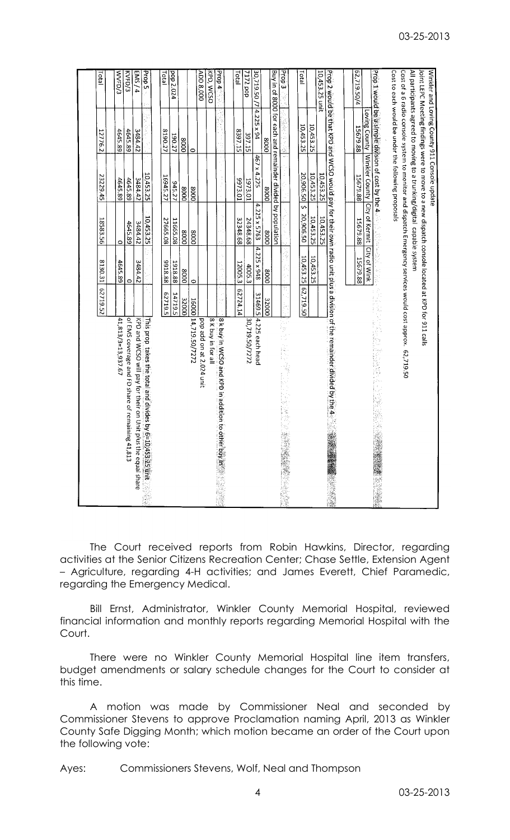|                                                                                                                             | 62719.52     | 130.31      | 18583.56                    | 23229.45                                   | 12776.2                                                                                                                                                                   | Total              |
|-----------------------------------------------------------------------------------------------------------------------------|--------------|-------------|-----------------------------|--------------------------------------------|---------------------------------------------------------------------------------------------------------------------------------------------------------------------------|--------------------|
| 41,813/3=13,937.67                                                                                                          |              | 4645.89     | 0                           | 4645.89                                    | 4645.89                                                                                                                                                                   | WVFD/3             |
| of EMS coverage and FD share of remaining 41,813                                                                            |              | $\circ$     | 4645.89                     | 4645.89                                    | 4645.89                                                                                                                                                                   | KVFD/3             |
| KPD and WCSO will pay for their on Unit plus the equal share                                                                |              | 3484.42     | 3484.42                     | 3484.42                                    | 3484.42                                                                                                                                                                   | EMS/4              |
| This prop takes the total and divides by $\hat{\mathbb{S}}$<br>10/453.25 time                                               |              |             | 10,453.25                   | 10,453.25                                  |                                                                                                                                                                           | Prop <sub>5</sub>  |
|                                                                                                                             | 52719.5      | 88.8166     | 27665.08                    | 16945.27                                   | 8190.27                                                                                                                                                                   | <b>Tatal</b>       |
|                                                                                                                             | 14719.5      | 1918.88     | 11665.08                    | 945.27                                     | 190.27                                                                                                                                                                    | pop 2.024          |
|                                                                                                                             | 32000        | 0008        | 0008                        | 0008                                       | 0008                                                                                                                                                                      |                    |
| 16000 14,719.50/7272                                                                                                        |              | $\circ$     | 0008                        | 0008                                       | $\circ$                                                                                                                                                                   |                    |
| pop add on at 2.024 unit                                                                                                    |              |             |                             |                                            |                                                                                                                                                                           | ADD 8,000          |
| 8 K buy in for all                                                                                                          |              |             |                             |                                            |                                                                                                                                                                           | KPD, WCSO          |
| 8 k buy in WCSO and KPD in addition to ot<br>Herbuy m San Sala                                                              |              |             |                             |                                            |                                                                                                                                                                           | $\frac{1}{2}$ doug |
|                                                                                                                             | 62724.14     | 12005.3     | 32348.68                    | 10'8166                                    | 8397.15                                                                                                                                                                   | Total              |
| 30,719.50/7272                                                                                                              |              | 4005.3      | 24348.68                    | 1973.01                                    | 397.15                                                                                                                                                                    | 7172 pop           |
| 31469.5 4.225 each head                                                                                                     |              | 4.225 x 948 | 4.225 x 5763                | 467 x 4.225                                | $4.225 \times 94$                                                                                                                                                         | 30,719.50 /7       |
|                                                                                                                             | <b>32000</b> | 0008        | 0008                        | 0008                                       | 0008                                                                                                                                                                      |                    |
|                                                                                                                             |              |             |                             |                                            | Buy in of 8000 for each and remainder divided by population                                                                                                               |                    |
| 医皮肤 医静脉瘤的<br>it.<br>E<br>小孩孩                                                                                                | žt,          |             |                             | $\mathbf{v}^{\mathrm{A}}$                  |                                                                                                                                                                           | <b>Prop3</b>       |
|                                                                                                                             |              |             |                             |                                            |                                                                                                                                                                           |                    |
|                                                                                                                             | 62,719.50    | 10,453.25   | m<br>20,906.50              | 20,906.50                                  | 10,453.25                                                                                                                                                                 | Total              |
|                                                                                                                             |              | 10,453.25   | 10,453.25                   | 10,453.25                                  | 10,453.25                                                                                                                                                                 |                    |
|                                                                                                                             |              |             | 10,453.25                   | 10,453.25                                  |                                                                                                                                                                           | 10,453.25 unit     |
| prop 2 would be that RPD and WCSO would pay for their own radio unit plus a division of the remainder divided by the 4 $\%$ |              |             |                             |                                            |                                                                                                                                                                           |                    |
|                                                                                                                             |              |             |                             |                                            | 15679.88                                                                                                                                                                  | 62,719.50/4        |
|                                                                                                                             |              | 15679.88    | 15679.88                    | Loving County   Winkler County<br>15679.88 |                                                                                                                                                                           |                    |
|                                                                                                                             |              | 100年12月     | City of Kermit City of Wink |                                            | $\mathsf{prob}$ 1 would be a simple division of cost by the 4                                                                                                             |                    |
|                                                                                                                             |              |             |                             |                                            | Cost to each would be under the following proposals                                                                                                                       |                    |
| Cost of a 6 radio console system to monitor and dispatch Emergency services would cost approx. 62,719.50                    |              |             |                             |                                            |                                                                                                                                                                           |                    |
|                                                                                                                             |              |             |                             |                                            | All participants agreed to moving to a trunking/digital capable system<br>Joint LEPC Meeting findings were to move to a new dispatch console located at KPD for 911 calls |                    |
|                                                                                                                             |              |             |                             |                                            | Winkler and Loving County 911 Console update                                                                                                                              |                    |

The Court received reports from Robin Hawkins, Director, regarding activities at the Senior Citizens Recreation Center; Chase Settle, Extension Agent – Agriculture, regarding 4-H activities; and James Everett, Chief Paramedic, regarding the Emergency Medical.

Bill Ernst, Administrator, Winkler County Memorial Hospital, reviewed financial information and monthly reports regarding Memorial Hospital with the Court.

There were no Winkler County Memorial Hospital line item transfers, budget amendments or salary schedule changes for the Court to consider at this time.

A motion was made by Commissioner Neal and seconded by Commissioner Stevens to approve Proclamation naming April, 2013 as Winkler County Safe Digging Month; which motion became an order of the Court upon the following vote:

Ayes: Commissioners Stevens, Wolf, Neal and Thompson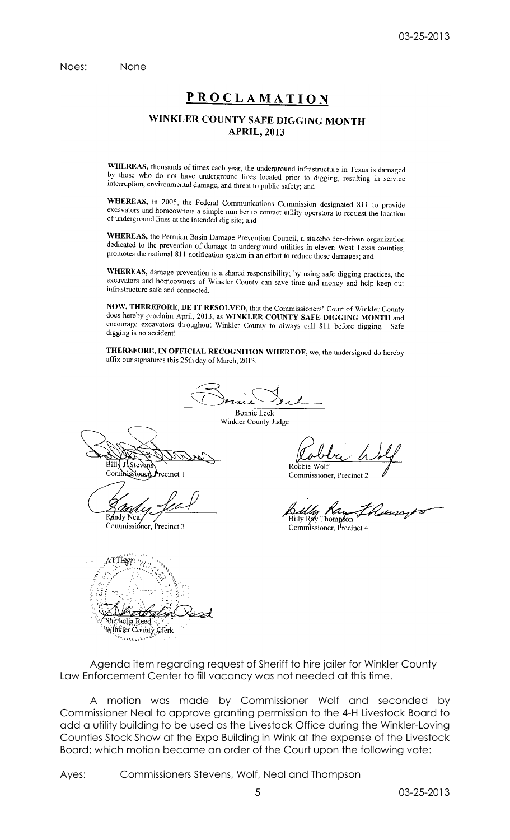Noes: None

# **PROCLAMATION**

## WINKLER COUNTY SAFE DIGGING MONTH **APRIL, 2013**

WHEREAS, thousands of times each year, the underground infrastructure in Texas is damaged by those who do not have underground lines located prior to digging, resulting in service interruption, environmental damage, and threat to public safety; and

WHEREAS, in 2005, the Federal Communications Commission designated 811 to provide excavators and homeowners a simple number to contact utility operators to request the location<br>of underground lines at the intended line intended with the state of the state of the location of underground lines at the intended dig site; and

WHEREAS, the Permian Basin Damage Prevention Council, a stakeholder-driven organization dedicated to the prevention of damage to underground utilities in eleven West Texas counties, promotes the national 811 notification system in an effort to reduce these damages; and

WHEREAS, damage prevention is a shared responsibility; by using safe digging practices, the excavators and homeowners of Winkler County can save time and money and help keep our infrastructure safe and connected.

NOW, THEREFORE, BE IT RESOLVED, that the Commissioners' Court of Winkler County does hereby proclaim April, 2013, as WINKLER COUNTY SAFE DIGGING MONTH and encourage excavators throughout Winkler County to always call 811 before digging. Safe digging is no accident!

THEREFORE, IN OFFICIAL RECOGNITION WHEREOF, we, the undersigned do hereby affix our signatures this 25th day of March, 2013.

**Bonnie Leck** Winkler County Judge

Stever Commissioner recinct 1

Randy Neal

Commissioner, Precinct 3

Robbie Wolf

Commissioner, Precinct 2

Billy Ray Thompson

Commissioner, Precinct 4

| thelia Reed<br>ikler County Clerk |
|-----------------------------------|
|                                   |

Agenda item regarding request of Sheriff to hire jailer for Winkler County Law Enforcement Center to fill vacancy was not needed at this time.

A motion was made by Commissioner Wolf and seconded by Commissioner Neal to approve granting permission to the 4-H Livestock Board to add a utility building to be used as the Livestock Office during the Winkler-Loving Counties Stock Show at the Expo Building in Wink at the expense of the Livestock Board; which motion became an order of the Court upon the following vote:

Ayes: Commissioners Stevens, Wolf, Neal and Thompson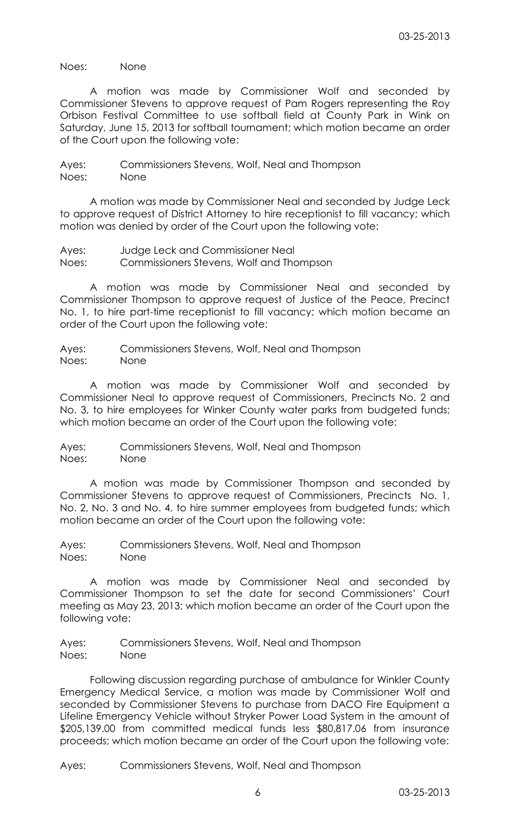Noes: None

A motion was made by Commissioner Wolf and seconded by Commissioner Stevens to approve request of Pam Rogers representing the Roy Orbison Festival Committee to use softball field at County Park in Wink on Saturday, June 15, 2013 for softball tournament; which motion became an order of the Court upon the following vote:

Ayes: Commissioners Stevens, Wolf, Neal and Thompson Noes: None

A motion was made by Commissioner Neal and seconded by Judge Leck to approve request of District Attorney to hire receptionist to fill vacancy; which motion was denied by order of the Court upon the following vote:

Ayes: Judge Leck and Commissioner Neal Noes: Commissioners Stevens, Wolf and Thompson

A motion was made by Commissioner Neal and seconded by Commissioner Thompson to approve request of Justice of the Peace, Precinct No. 1, to hire part-time receptionist to fill vacancy; which motion became an order of the Court upon the following vote:

Ayes: Commissioners Stevens, Wolf, Neal and Thompson Noes: None

A motion was made by Commissioner Wolf and seconded by Commissioner Neal to approve request of Commissioners, Precincts No. 2 and No. 3, to hire employees for Winker County water parks from budgeted funds; which motion became an order of the Court upon the following vote:

Ayes: Commissioners Stevens, Wolf, Neal and Thompson Noes: None

A motion was made by Commissioner Thompson and seconded by Commissioner Stevens to approve request of Commissioners, Precincts No. 1, No. 2, No. 3 and No. 4, to hire summer employees from budgeted funds; which motion became an order of the Court upon the following vote:

Ayes: Commissioners Stevens, Wolf, Neal and Thompson Noes: None

A motion was made by Commissioner Neal and seconded by Commissioner Thompson to set the date for second Commissioners' Court meeting as May 23, 2013; which motion became an order of the Court upon the following vote:

Ayes: Commissioners Stevens, Wolf, Neal and Thompson Noes: None

Following discussion regarding purchase of ambulance for Winkler County Emergency Medical Service, a motion was made by Commissioner Wolf and seconded by Commissioner Stevens to purchase from DACO Fire Equipment a Lifeline Emergency Vehicle without Stryker Power Load System in the amount of \$205,139.00 from committed medical funds less \$80,817.06 from insurance proceeds; which motion became an order of the Court upon the following vote:

Ayes: Commissioners Stevens, Wolf, Neal and Thompson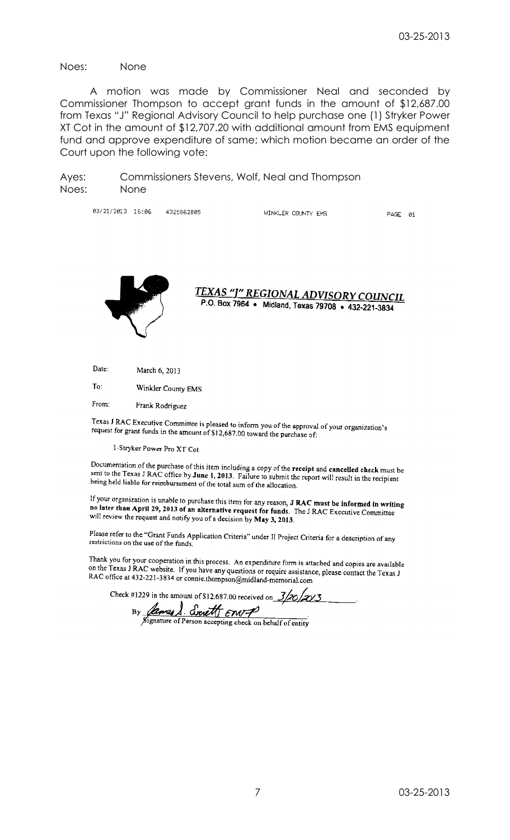Noes: None

A motion was made by Commissioner Neal and seconded by Commissioner Thompson to accept grant funds in the amount of \$12,687.00 from Texas "J" Regional Advisory Council to help purchase one (1) Stryker Power XT Cot in the amount of \$12,707.20 with additional amount from EMS equipment fund and approve expenditure of same; which motion became an order of the Court upon the following vote:

Ayes: Commissioners Stevens, Wolf, Neal and Thompson Noes: None

> 03/21/2013 15:06 4325862805 WINKLER COUNTY EMS

PAGE 01



TEXAS "J" REGIONAL ADVISORY COUNCIL P.O. Box 7964 • Midland, Texas 79708 • 432-221-3834

Date: March 6, 2013

To: Winkler County EMS

From: Frank Rodriguez

Texas J RAC Executive Committee is pleased to inform you of the approval of your organization's<br>request for grant funds in the amount of \$12,682.00 toward the grant of your organization's request for grant funds in the amount of \$12,687.00 toward the purchase of:

I-Stryker Power Pro XT Cot

Documentation of the purchase of this item including a copy of the receipt and cancelled check must be<br>sent to the Texas J RAC office by June 1, 2013. Follows to rule in the context of the Texas J RAC office by June 1, 201 securements for the purchase of this from including a copy of the receipt and cancelled check must be<br>sent to the Texas J RAC office by June 1, 2013. Failure to submit the report will result in the recipient<br>being held lia being held liable for reimbursement of the total surn of the allocation.

If your organization is unable to purchase this item for any reason,  $J RAC$  must be informed in writing<br>no later than April 29, 2013 of an alternative request factor of  $T_{\text{tot}}$ . The CR R no later than April 29, 2013 of an alternative request for funds. The J RAC Executive Committee<br>will review the request and notify you of a domining Le M<sub>an</sub> 2, 2013. will review the request and notify you of a decision by May 3, 2013.

Please refer to the "Grant Funds Application Criteria" under II Project Criteria for a description of any<br>restrictions on the use of the funds restrictions on the use of the funds.

Thank you for your cooperation in this process. An expenditure form is attached and copies are available<br>on the Texas J R AC website. If you have agreed in the study of the Texas J R AC website. on the Texas J RAC website. If you have any questions or require assistance, please contact the Texas J<br>RAC office at 432-221-3834 or counse the mean of require assistance, please contact the Texas J RAC office at 432-221-3834 or connie.thompson@midland-memorial.com

Check #1229 in the amount of \$12,687.00 received on  $\frac{3}{20}$ 

lames & Event Emp  $By_$ ignature of Person accepting check on behalf of entity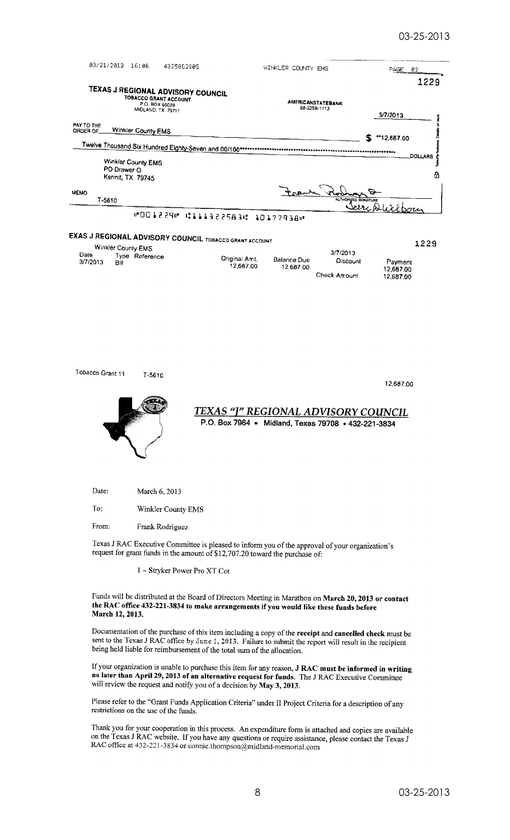

1 - Stryker Power Pro XT Cot

Funds will be distributed at the Board of Directors Meeting in Marathon on March 20, 2013 or contact the RAC office 432-221-3834 to make arrangements if you would like these funds before March 12, 2013.

Documentation of the purchase of this item including a copy of the receipt and cancelled check must be sent to the Texas J RAC office by June 1, 2013. Failure to submit the report will result in the recipient being held liable for reimbursement of the total sum of the allocation.

If your organization is unable to purchase this item for any reason, **J RAC must be informed in writing no later than April 29, 2013 of an alternative request for funds.** The J RAC Executive Committee will project the gr will review the request and notify you of a decision by May 3, 2013.

Please refer to the "Grant Funds Application Criteria" under II Project Criteria for a description of any restrictions on the use of the funds.

Thank you for your cooperation in this process. An expenditure form is attached and copies are available on the Texas J RAC website. If you have any questions or require assistance, please contact the Texas J<br>RAC office at 432.221.3834 or points the magnetic state of require assistance, please contact the Texas J RAC office at 432-221-3834 or connie.thompson@midland-memorial.com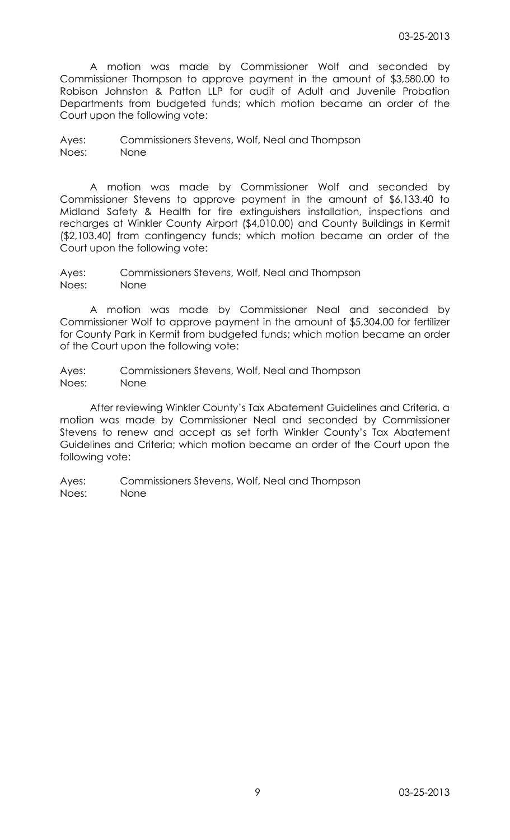A motion was made by Commissioner Wolf and seconded by Commissioner Thompson to approve payment in the amount of \$3,580.00 to Robison Johnston & Patton LLP for audit of Adult and Juvenile Probation Departments from budgeted funds; which motion became an order of the Court upon the following vote:

Ayes: Commissioners Stevens, Wolf, Neal and Thompson Noes: None

A motion was made by Commissioner Wolf and seconded by Commissioner Stevens to approve payment in the amount of \$6,133.40 to Midland Safety & Health for fire extinguishers installation, inspections and recharges at Winkler County Airport (\$4,010.00) and County Buildings in Kermit (\$2,103.40) from contingency funds; which motion became an order of the Court upon the following vote:

Ayes: Commissioners Stevens, Wolf, Neal and Thompson Noes: None

A motion was made by Commissioner Neal and seconded by Commissioner Wolf to approve payment in the amount of \$5,304.00 for fertilizer for County Park in Kermit from budgeted funds; which motion became an order of the Court upon the following vote:

Ayes: Commissioners Stevens, Wolf, Neal and Thompson Noes: None

After reviewing Winkler County's Tax Abatement Guidelines and Criteria, a motion was made by Commissioner Neal and seconded by Commissioner Stevens to renew and accept as set forth Winkler County's Tax Abatement Guidelines and Criteria; which motion became an order of the Court upon the following vote:

Ayes: Commissioners Stevens, Wolf, Neal and Thompson Noes: None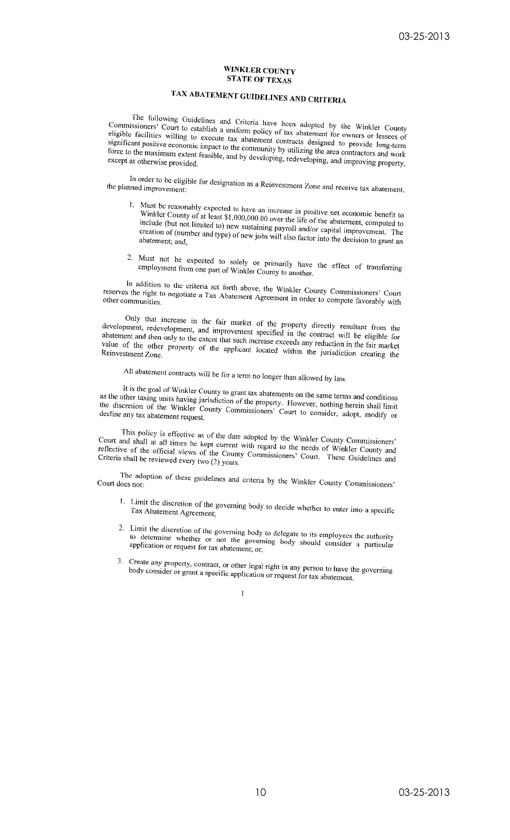#### **WINKLER COUNTY STATE OF TEXAS**

# TAX ABATEMENT GUIDELINES AND CRITERIA

The following Guidelines and Criteria have been adopted by the Winkler County Commissioners' Court to establish a uniform policy of tax abatement for owners or lessees of eligible facilities willing to execute tax abatement contracts designed to provide long-term significant positive economic impact to the community by utilizing the area contractors and work force to the maximum extent feasible, and by developing, redeveloping, and improving property,

In order to be eligible for designation as a Reinvestment Zone and receive tax abatement, the planned improvement:

- 1. Must be reasonably expected to have an increase in positive net economic benefit to Winkler County of at least \$1,000,000.00 over the life of the abatement, computed to include (but not limited to) new sustaining payroll and/or capital improvement. The creation of (number and type) of new jobs will also factor into the decision to grant an
- 2. Must not be expected to solely or primarily have the effect of transferring employment from one part of Winkler County to another.

In addition to the criteria set forth above, the Winkler County Commissioners' Court reserves the right to negotiate a Tax Abatement Agreement in order to compete favorably with

Only that increase in the fair market of the property directly resultant from the development, redevelopment, and improvement specified in the contract will be eligible for abatement and then only to the extent that such increase exceeds any reduction in the fair market value of the other property of the applicant located within the jurisdiction creating the

All abatement contracts will be for a term no longer than allowed by law.

It is the goal of Winkler County to grant tax abatements on the same terms and conditions as the other taxing units having jurisdiction of the property. However, nothing herein shall limit the discretion of the Winkler County Commissioners' Court to consider, adopt, modify or decline any tax abatement request.

This policy is effective as of the date adopted by the Winkler County Commissioners' Court and shall at all times be kept current with regard to the needs of Winkler County and reflective of the official views of the County Commissioners' Court. These Guidelines and Criteria shall be reviewed every two (2) years.

The adoption of these guidelines and criteria by the Winkler County Commissioners' Court does not:

- 1. Limit the discretion of the governing body to decide whether to enter into a specific Tax Abatement Agreement,
- 2. Limit the discretion of the governing body to delegate to its employees the authority to determine whether or not the governing body should consider a particular application or request for tax abatement; or,
- 3. Create any property, contract, or other legal right in any person to have the governing body consider or grant a specific application or request for tax abatement.

 $\mathbf{I}$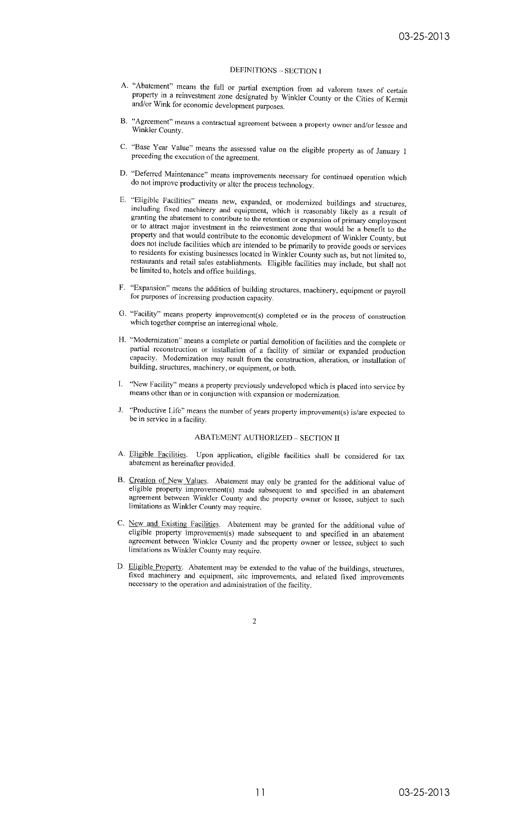#### DEFINITIONS - SECTION I

- A. "Abatement" means the full or partial exemption from ad valorem taxes of certain property in a reinvestment zone designated by Winkler County or the Cities of Kermit and/or Wink for economic development purposes.
- B. "Agreement" means a contractual agreement between a property owner and/or lessee and Winkler County.
- C. "Base Year Value" means the assessed value on the eligible property as of January 1 preceding the execution of the agreement.
- D. "Deferred Maintenance" means improvements necessary for continued operation which do not improve productivity or alter the process technology.
- E. "Eligible Facilities" means new, expanded, or modernized buildings and structures, including fixed machinery and equipment, which is reasonably likely as a result of granting the abatement to contribute to the retention or expansion of primary employment or to attract major investment in the reinvestment zone that would be a benefit to the property and that would contribute to the economic development of Winkler County, but does not include facilities which are intended to be primarily to provide goods or services to residents for existing businesses located in Winkler County such as, but not limited to, restaurants and retail sales establishments. Eligible facilities may include, but shall not be limited to, hotels and office buildings.
- F. "Expansion" means the addition of building structures, machinery, equipment or payroll for purposes of increasing production capacity.
- G. "Facility" means property improvement(s) completed or in the process of construction which together comprise an interregional whole.
- H. "Modernization" means a complete or partial demolition of facilities and the complete or partial reconstruction or installation of a facility of similar or expanded production capacity. Modernization may result from the construction, alteration, or installation of building, structures, machinery, or equipment, or both.
- I. "New Facility" means a property previously undeveloped which is placed into service by means other than or in conjunction with expansion or modernization.
- $\mathbf{L}$ "Productive Life" means the number of years property improvement(s) is/are expected to be in service in a facility.

#### **ABATEMENT AUTHORIZED - SECTION II**

- A. Eligible Facilities. Upon application, eligible facilities shall be considered for tax abatement as hereinafter provided.
- B. Creation of New Values. Abatement may only be granted for the additional value of eligible property improvement(s) made subsequent to and specified in an abatement agreement between Winkler County and the property owner or lessee, subject to such limitations as Winkler County may require.
- C. New and Existing Facilities. Abatement may be granted for the additional value of eligible property improvement(s) made subsequent to and specified in an abatement agreement between Winkler County and the property owner or lessee, subject to such limitations as Winkler County may require.
- D. Eligible Property. Abatement may be extended to the value of the buildings, structures, fixed machinery and equipment, site improvements, and related fixed improvements necessary to the operation and administration of the facility.

 $\overline{2}$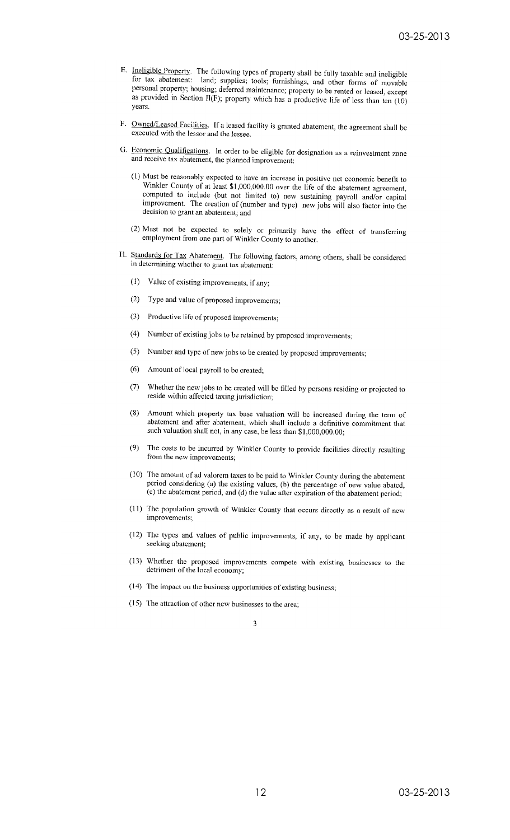- E. Ineligible Property. The following types of property shall be fully taxable and ineligible for tax abatement: land; supplies; tools; furnishings, and other forms of movable personal property; housing; deferred maintenance; property to be rented or leased, except as provided in Section II(F); property which has a productive life of less than ten (10) vears.
- F. Owned/Leased Facilities. If a leased facility is granted abatement, the agreement shall be executed with the lessor and the lessee.
- G. Economic Qualifications. In order to be eligible for designation as a reinvestment zone and receive tax abatement, the planned improvement:
	- (1) Must be reasonably expected to have an increase in positive net economic benefit to Winkler County of at least \$1,000,000.00 over the life of the abatement agreement, computed to include (but not limited to) new sustaining payroll and/or capital improvement. The creation of (number and type) new jobs will also factor into the decision to grant an abatement; and
	- (2) Must not be expected to solely or primarily have the effect of transferring employment from one part of Winkler County to another.
- H. Standards for Tax Abatement. The following factors, among others, shall be considered in determining whether to grant tax abatement:
	- (1) Value of existing improvements, if any;
	- (2) Type and value of proposed improvements;
	- (3) Productive life of proposed improvements;
	- $(4)$ Number of existing jobs to be retained by proposed improvements;
	- (5) Number and type of new jobs to be created by proposed improvements;
	- $(6)$ Amount of local payroll to be created;
	- $(7)$ Whether the new jobs to be created will be filled by persons residing or projected to reside within affected taxing jurisdiction;
	- $(8)$ Amount which property tax base valuation will be increased during the term of abatement and after abatement, which shall include a definitive commitment that such valuation shall not, in any case, be less than \$1,000,000.00;
	- The costs to be incurred by Winkler County to provide facilities directly resulting  $(9)$ from the new improvements;
	- (10) The amount of ad valorem taxes to be paid to Winkler County during the abatement period considering (a) the existing values, (b) the percentage of new value abated, (c) the abatement period, and (d) the value after expiration of the abatement period;
	- (11) The population growth of Winkler County that occurs directly as a result of new improvements;
	- (12) The types and values of public improvements, if any, to be made by applicant seeking abatement;
	- (13) Whether the proposed improvements compete with existing businesses to the detriment of the local economy;
	- (14) The impact on the business opportunities of existing business;
	- (15) The attraction of other new businesses to the area;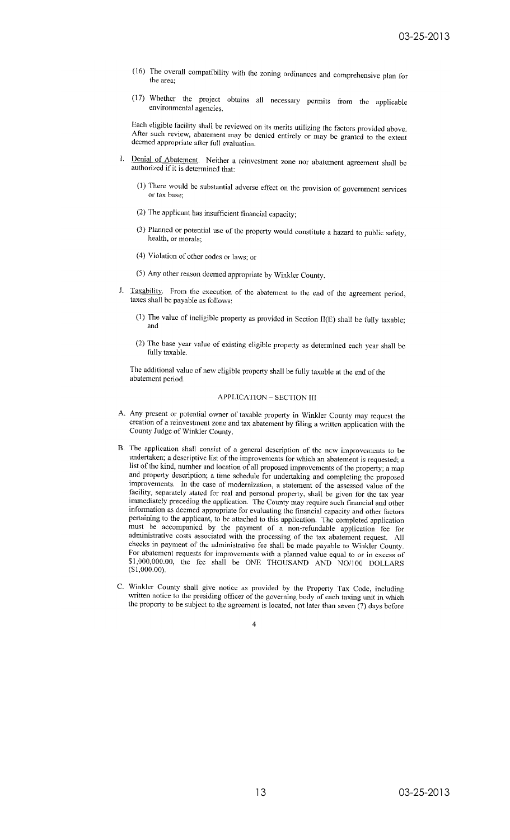- (16) The overall compatibility with the zoning ordinances and comprehensive plan for the area:
- (17) Whether the project obtains all necessary permits from the applicable environmental agencies.

Each eligible facility shall be reviewed on its merits utilizing the factors provided above. After such review, abatement may be denied entirely or may be granted to the extent deemed appropriate after full evaluation.

- I. Denial of Abatement. Neither a reinvestment zone nor abatement agreement shall be authorized if it is determined that:
	- (1) There would be substantial adverse effect on the provision of government services or tax base:
	- (2) The applicant has insufficient financial capacity;
	- (3) Planned or potential use of the property would constitute a hazard to public safety, health, or morals;
	- (4) Violation of other codes or laws; or
	- (5) Any other reason deemed appropriate by Winkler County.
- J. Taxability. From the execution of the abatement to the end of the agreement period, taxes shall be payable as follows:
	- (1) The value of incligible property as provided in Section II(E) shall be fully taxable; and
	- (2) The base year value of existing eligible property as determined each year shall be fully taxable.

The additional value of new cligible property shall be fully taxable at the end of the abatement period.

#### **APPLICATION - SECTION III**

- A. Any present or potential owner of taxable property in Winkler County may request the creation of a reinvestment zone and tax abatement by filing a written application with the County Judge of Winkler County.
- B. The application shall consist of a general description of the new improvements to be undertaken; a descriptive list of the improvements for which an abatement is requested; a list of the kind, number and location of all proposed improvements of the property; a map and property description; a time schedule for undertaking and completing the proposed improvements. In the case of modernization, a statement of the assessed value of the facility, separately stated for real and personal property, shall be given for the tax year immediately preceding the application. The County may require such financial and other information as deemed appropriate for evaluating the financial capacity and other factors pertaining to the applicant, to be attached to this application. The completed application must be accompanied by the payment of a non-refundable application fee for administrative costs associated with the processing of the tax abatement request. All checks in payment of the administrative fee shall be made payable to Winkler County. For abatement requests for improvements with a planned value equal to or in excess of \$1,000,000.00, the fee shall be ONE THOUSAND AND NO/100 DOLLARS  $$1,000.00$ .
- C. Winkler County shall give notice as provided by the Property Tax Code, including written notice to the presiding officer of the governing body of each taxing unit in which the property to be subject to the agreement is located, not later than seven (7) days before

 $\overline{4}$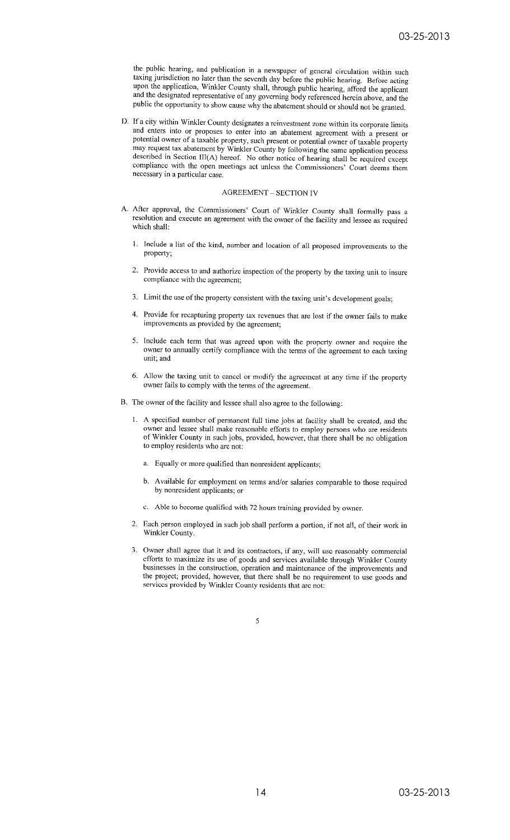the public hearing, and publication in a newspaper of general circulation within such taxing jurisdiction no later than the seventh day before the public hearing. Before acting upon the application, Winkler County shall, through public hearing, afford the applicant and the designated representative of any governing body referenced herein above, and the public the opportunity to show cause why the abatement should or should not be granted.

D. If a city within Winkler County designates a reinvestment zone within its corporate limits and enters into or proposes to enter into an abatement agreement with a present or potential owner of a taxable property, such present or potential owner of taxable property may request tax abatement by Winkler County by following the same application process described in Section III(A) hereof. No other notice of hearing shall be required except compliance with the open meetings act unless the Commissioners' Court deems them necessary in a particular case.

#### **AGREEMENT - SECTION IV**

- A. After approval, the Commissioners' Court of Winkler County shall formally pass a resolution and execute an agreement with the owner of the facility and lessee as required which shall:
	- 1. Include a list of the kind, number and location of all proposed improvements to the property:
	- $2.$ Provide access to and authorize inspection of the property by the taxing unit to insure compliance with the agreement;
	- 3. Limit the use of the property consistent with the taxing unit's development goals;
	- $\overline{4}$ . Provide for recapturing property tax revenues that are lost if the owner fails to make improvements as provided by the agreement;
	- 5. Include each term that was agreed upon with the property owner and require the owner to annually certify compliance with the terms of the agreement to each taxing unit: and
	- 6. Allow the taxing unit to cancel or modify the agreement at any time if the property owner fails to comply with the terms of the agreement.
- B. The owner of the facility and lessee shall also agree to the following:
	- 1. A specified number of permanent full time jobs at facility shall be created, and the owner and lessee shall make reasonable efforts to employ persons who are residents of Winkler County in such jobs, provided, however, that there shall be no obligation to employ residents who are not:
		- a. Equally or more qualified than nonresident applicants;
		- b. Available for employment on terms and/or salaries comparable to those required by nonresident applicants; or
		- c. Able to become qualified with 72 hours training provided by owner.
	- 2. Each person employed in such job shall perform a portion, if not all, of their work in Winkler County.
	- 3. Owner shall agree that it and its contractors, if any, will use reasonably commercial efforts to maximize its use of goods and services available through Winkler County businesses in the construction, operation and maintenance of the improvements and the project; provided, however, that there shall be no requirement to use goods and services provided by Winkler County residents that are not: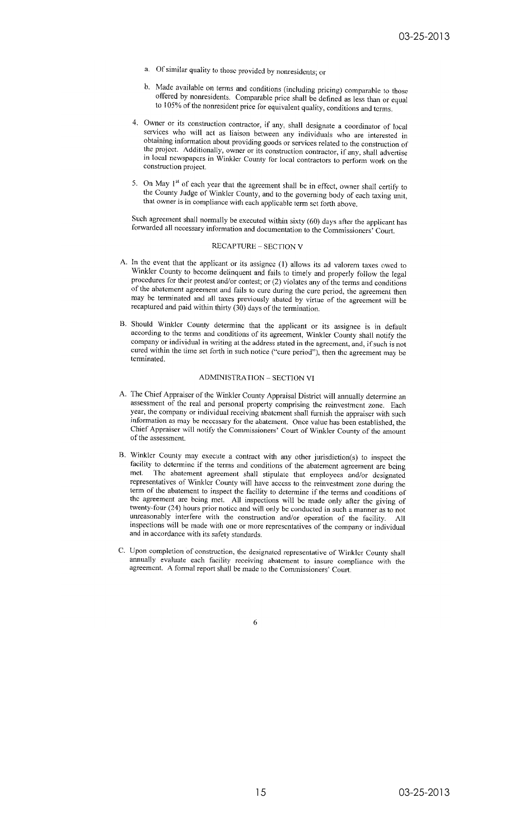- a. Of similar quality to those provided by nonresidents; or
- b. Made available on terms and conditions (including pricing) comparable to those offered by nonresidents. Comparable price shall be defined as less than or equal to 105% of the nonresident price for equivalent quality, conditions and terms.
- 4. Owner or its construction contractor, if any, shall designate a coordinator of local services who will act as liaison between any individuals who are interested in obtaining information about providing goods or services related to the construction of the project. Additionally, owner or its construction contractor, if any, shall advertise in local newspapers in Winkler County for local contractors to perform work on the construction project.
- 5. On May 1<sup>st</sup> of each year that the agreement shall be in effect, owner shall certify to the County Judge of Winkler County, and to the governing body of each taxing unit, that owner is in compliance with each applicable term set forth above.

Such agreement shall normally be executed within sixty (60) days after the applicant has forwarded all necessary information and documentation to the Commissioners' Court.

#### **RECAPTURE - SECTION V**

- A. In the event that the applicant or its assignee (1) allows its ad valorem taxes owed to Winkler County to become delinquent and fails to timely and properly follow the legal procedures for their protest and/or contest; or (2) violates any of the terms and conditions of the abatement agreement and fails to cure during the cure period, the agreement then may be terminated and all taxes previously abated by virtue of the agreement will be recaptured and paid within thirty (30) days of the termination.
- B. Should Winkler County determine that the applicant or its assignee is in default according to the terms and conditions of its agreement, Winkler County shall notify the company or individual in writing at the address stated in the agreement, and, if such is not cured within the time set forth in such notice ("cure period"), then the agreement may be terminated.

#### **ADMINISTRATION - SECTION VI**

- A. The Chief Appraiser of the Winkler County Appraisal District will annually determine an assessment of the real and personal property comprising the reinvestment zone. Each year, the company or individual receiving abatement shall furnish the appraiser with such information as may be necessary for the abatement. Once value has been established, the Chief Appraiser will notify the Commissioners' Court of Winkler County of the amount of the assessment.
- B. Winkler County may execute a contract with any other jurisdiction(s) to inspect the facility to determine if the terms and conditions of the abatement agreement are being The abatement agreement shall stipulate that employees and/or designated met. representatives of Winkler County will have access to the reinvestment zone during the term of the abatement to inspect the facility to determine if the terms and conditions of the agreement are being met. All inspections will be made only after the giving of twenty-four (24) hours prior notice and will only be conducted in such a manner as to not unreasonably interfere with the construction and/or operation of the facility. All inspections will be made with one or more representatives of the company or individual and in accordance with its safety standards.
- C. Upon completion of construction, the designated representative of Winkler County shall annually evaluate each facility receiving abatement to insure compliance with the agreement. A formal report shall be made to the Commissioners' Court.

 $\bar{6}$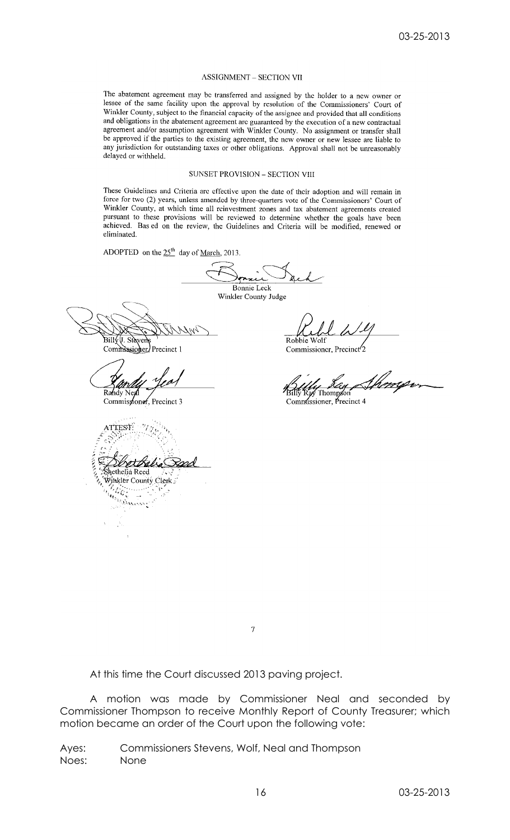#### **ASSIGNMENT - SECTION VII**

The abatement agreement may be transferred and assigned by the holder to a new owner or lessee of the same facility upon the approval by resolution of the Commissioners' Court of Winkler County, subject to the financial capacity of the assignee and provided that all conditions and obligations in the abatement agreement arc guaranteed by the execution of a new contractual and conguiuons in the abatement agreement are guaranteed by the execution of a new contractual<br>agreement and/or assumption agreement with Winkler County. No assignment or transfer shall be approved if the parties to the existing agreement, the new owner or new lessee are liable to any jurisdiction for outstanding taxes or other obligations. Approval shall not be unreasonably delayed or withheld.

#### SUNSET PROVISION - SECTION VIII

These Guidelines and Criteria are effective upon the date of their adoption and will remain in force for two (2) years, unless amended by three-quarters vote of the Commissioners' Court of Winkler County, at which time all reinvestment zones and tax abatement agreements created pursuant to these provisions will be reviewed to determine whether the goals have been achieved. Bas ed on the review, the Guidelines and Criteria will be modified, renewed or eliminated.

ADOPTED on the  $25<sup>th</sup>$  day of March, 2013.

Bonnie Leck Winkler County Judge

Bill√U. Stàvei

Commissioner/Precinct 1

Randy Nej

Commissioner, Precinct 3

ATTEST: Shethelia Reed Winkler County Clerk Mathi **Collinsine** 

 $\frac{3}{2}$ 

Robbie Wolf Commissioner, Precinct<sup>7</sup>2

Billy Ray Thompson<br>Commussioner, Precinct 4

 $\boldsymbol{7}$ 

At this time the Court discussed 2013 paving project.

A motion was made by Commissioner Neal and seconded by Commissioner Thompson to receive Monthly Report of County Treasurer; which motion became an order of the Court upon the following vote:

Ayes: Commissioners Stevens, Wolf, Neal and Thompson Noes: None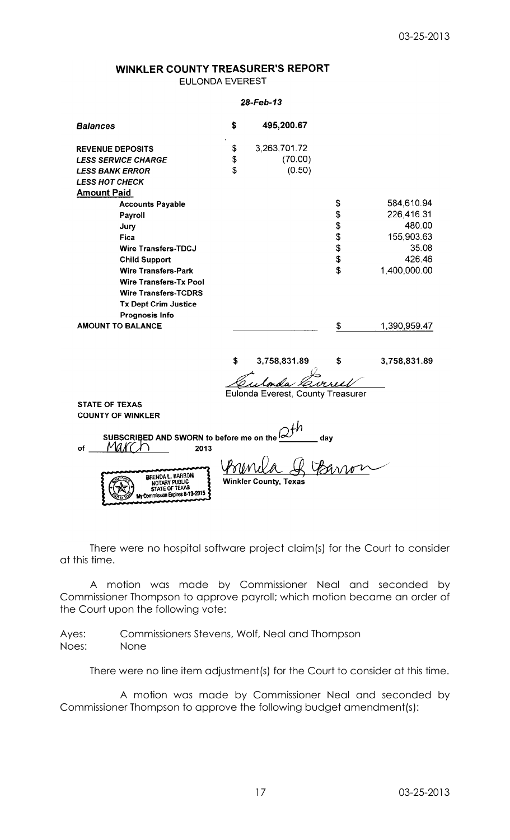# WINKLER COUNTY TREASURER'S REPORT

**EULONDA EVEREST** 

### 28-Feb-13

| <b>Balances</b>                                                          | \$ | 495,200.67                        |     |              |  |  |
|--------------------------------------------------------------------------|----|-----------------------------------|-----|--------------|--|--|
| <b>REVENUE DEPOSITS</b>                                                  | \$ | 3,263,701.72                      |     |              |  |  |
| <b>LESS SERVICE CHARGE</b>                                               | \$ | (70.00)                           |     |              |  |  |
| <b>LESS BANK ERROR</b>                                                   | \$ | (0.50)                            |     |              |  |  |
| <b>LESS HOT CHECK</b>                                                    |    |                                   |     |              |  |  |
| <b>Amount Paid</b>                                                       |    |                                   |     |              |  |  |
| <b>Accounts Payable</b>                                                  |    |                                   | \$  | 584,610.94   |  |  |
| Payroll                                                                  |    |                                   | \$  | 226,416.31   |  |  |
| Jury                                                                     |    |                                   | \$  | 480.00       |  |  |
| Fica                                                                     |    |                                   |     | 155,903.63   |  |  |
| <b>Wire Transfers-TDCJ</b>                                               |    |                                   | \$  | 35.08        |  |  |
| <b>Child Support</b>                                                     |    |                                   | \$  | 426.46       |  |  |
| <b>Wire Transfers-Park</b>                                               |    |                                   | \$  | 1,400,000.00 |  |  |
| <b>Wire Transfers-Tx Pool</b>                                            |    |                                   |     |              |  |  |
| <b>Wire Transfers-TCDRS</b>                                              |    |                                   |     |              |  |  |
| <b>Tx Dept Crim Justice</b>                                              |    |                                   |     |              |  |  |
| <b>Prognosis Info</b>                                                    |    |                                   |     |              |  |  |
| <b>AMOUNT TO BALANCE</b>                                                 |    |                                   | \$  | 1,390,959.47 |  |  |
|                                                                          |    |                                   |     |              |  |  |
|                                                                          | S  | 3,758,831.89                      |     | 3,758,831.89 |  |  |
|                                                                          |    |                                   |     |              |  |  |
|                                                                          |    | Eulonda Everest, County Treasurer |     |              |  |  |
| <b>STATE OF TEXAS</b>                                                    |    |                                   |     |              |  |  |
| <b>COUNTY OF WINKLER</b>                                                 |    |                                   |     |              |  |  |
|                                                                          |    |                                   |     |              |  |  |
| SUBSCRIBED AND SWORN to before me on the <sup>Ic</sup><br>of<br>2013     |    |                                   | day |              |  |  |
| <b>BRENDA L. BARRON</b><br><b>Winkler County, Texas</b><br>NOTARY PUBLIC |    |                                   |     |              |  |  |
| STATE OF TEXAS<br>My Commission Expires 8-13-2015                        |    |                                   |     |              |  |  |

There were no hospital software project claim(s) for the Court to consider at this time.

A motion was made by Commissioner Neal and seconded by Commissioner Thompson to approve payroll; which motion became an order of the Court upon the following vote:

Ayes: Commissioners Stevens, Wolf, Neal and Thompson Noes: None

There were no line item adjustment(s) for the Court to consider at this time.

A motion was made by Commissioner Neal and seconded by Commissioner Thompson to approve the following budget amendment(s):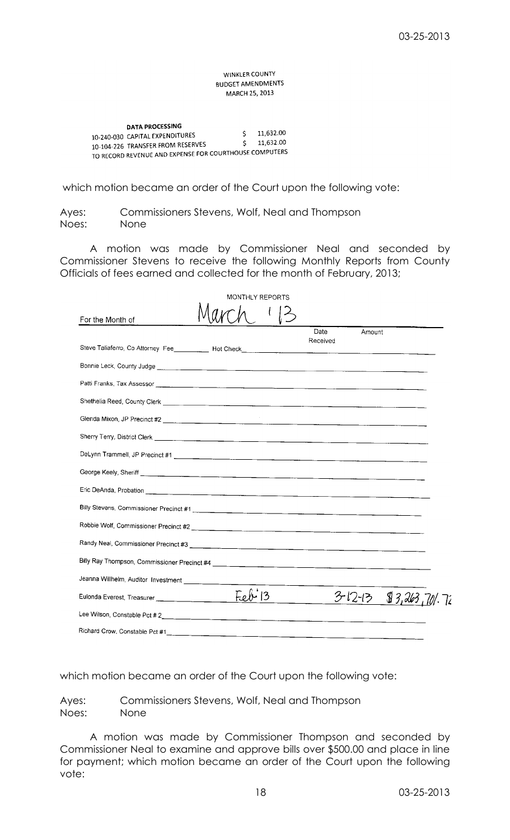**WINKLER COUNTY BUDGET AMENDMENTS** MARCH 25, 2013

**DATA PROCESSING** 11.632.00 10-240-030 CAPITAL EXPENDITURES  $\mathsf{S}$ 11,632.00  $\mathsf{S}$ 10-104-226 TRANSFER FROM RESERVES 10-104-226 IRANSFER FROM RESERVES COURTHOUSE COMPUTERS

which motion became an order of the Court upon the following vote:

Ayes: Commissioners Stevens, Wolf, Neal and Thompson Noes: None

A motion was made by Commissioner Neal and seconded by Commissioner Stevens to receive the following Monthly Reports from County Officials of fees earned and collected for the month of February, 2013;

|                                                                                                                                                                                                                                      | MONTHLY REPORTS |                  |               |                |
|--------------------------------------------------------------------------------------------------------------------------------------------------------------------------------------------------------------------------------------|-----------------|------------------|---------------|----------------|
| For the Month of                                                                                                                                                                                                                     |                 |                  |               |                |
|                                                                                                                                                                                                                                      |                 | Date<br>Received | Amount        |                |
|                                                                                                                                                                                                                                      |                 |                  |               |                |
|                                                                                                                                                                                                                                      |                 |                  |               |                |
| Shethelia Reed, County Clerk <u>entitled and the control of the control of the control of the control of the control of</u>                                                                                                          |                 |                  |               |                |
|                                                                                                                                                                                                                                      |                 |                  |               |                |
| Sherry Terry, District Clerk <u>Conservation and the conservation of the conservation of the conservation of the conservation of the conservation of the conservation of the conservation of the conservation of the conservatio</u> |                 |                  |               |                |
|                                                                                                                                                                                                                                      |                 |                  |               |                |
|                                                                                                                                                                                                                                      |                 |                  |               |                |
|                                                                                                                                                                                                                                      |                 |                  |               |                |
| Billy Stevens, Commissioner Precinct #1                                                                                                                                                                                              |                 |                  |               |                |
|                                                                                                                                                                                                                                      |                 |                  |               |                |
|                                                                                                                                                                                                                                      |                 |                  |               |                |
|                                                                                                                                                                                                                                      |                 |                  |               |                |
| Jeanna Willhelm, Auditor Investment ____________                                                                                                                                                                                     |                 |                  |               |                |
|                                                                                                                                                                                                                                      | $Fekt$ 13       |                  | $3 - 12 - 13$ | \$3,263,701.72 |
|                                                                                                                                                                                                                                      |                 |                  |               |                |
| Richard Crow, Constable Pct #1                                                                                                                                                                                                       |                 |                  |               |                |

which motion became an order of the Court upon the following vote:

Ayes: Commissioners Stevens, Wolf, Neal and Thompson Noes: None

A motion was made by Commissioner Thompson and seconded by Commissioner Neal to examine and approve bills over \$500.00 and place in line for payment; which motion became an order of the Court upon the following vote: